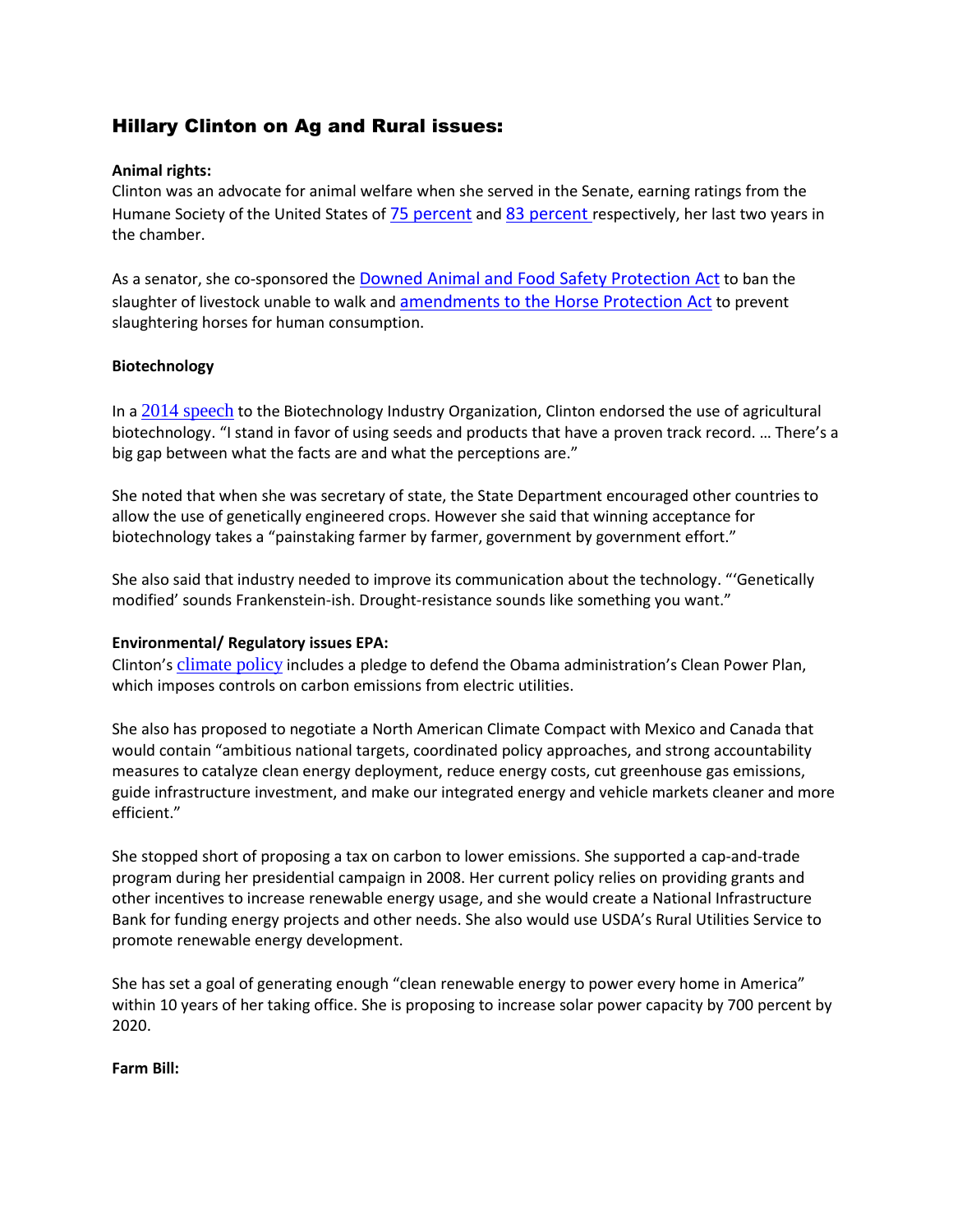# Hillary Clinton on Ag and Rural issues:

### **Animal rights:**

Clinton was an advocate for animal welfare when she served in the Senate, earning ratings from the Humane Society of the United States of **75 [percent](http://www.hslf.org/assets/pdfs/humane-scorecard/humane-scorecard-2008.pdf) and 83 percent respectively**, her last two years in the chamber.

As a senator, she co-sponsored the **Downed Animal and Food Safety [Protection](https://www.congress.gov/bill/110th-congress/senate-bill/394) Act** to ban the slaughter of livestock unable to walk and [amendments](https://www.congress.gov/bill/110th-congress/senate-bill/311?q=%257B%2522search%2522%253A%255B%2522Horse+Slaughter+Prevention+Act%2522%255D%257D&resultIndex=10) to the Horse Protection Act to prevent slaughtering horses for human consumption.

#### **Biotechnology**

In a 2014 [speech](http://agwired.com/2014/06/27/hillary-clinton-talks-ag-biotechnology/) to the Biotechnology Industry Organization, Clinton endorsed the use of agricultural biotechnology. "I stand in favor of using seeds and products that have a proven track record. … There's a big gap between what the facts are and what the perceptions are."

She noted that when she was secretary of state, the State Department encouraged other countries to allow the use of genetically engineered crops. However she said that winning acceptance for biotechnology takes a "painstaking farmer by farmer, government by government effort."

She also said that industry needed to improve its communication about the technology. "'Genetically modified' sounds Frankenstein-ish. Drought-resistance sounds like something you want."

#### **Environmental/ Regulatory issues EPA:**

Clinton's climate policy includes a pledge to defend the Obama administration's Clean Power Plan, which imposes controls on carbon emissions from electric utilities.

She also has proposed to negotiate a North American Climate Compact with Mexico and Canada that would contain "ambitious national targets, coordinated policy approaches, and strong accountability measures to catalyze clean energy deployment, reduce energy costs, cut greenhouse gas emissions, guide infrastructure investment, and make our integrated energy and vehicle markets cleaner and more efficient."

She stopped short of proposing a tax on carbon to lower emissions. She supported a cap-and-trade program during her presidential campaign in 2008. Her current policy relies on providing grants and other incentives to increase renewable energy usage, and she would create a National Infrastructure Bank for funding energy projects and other needs. She also would use USDA's Rural Utilities Service to promote renewable energy development.

She has set a goal of generating enough "clean renewable energy to power every home in America" within 10 years of her taking office. She is proposing to increase solar power capacity by 700 percent by 2020.

#### **Farm Bill:**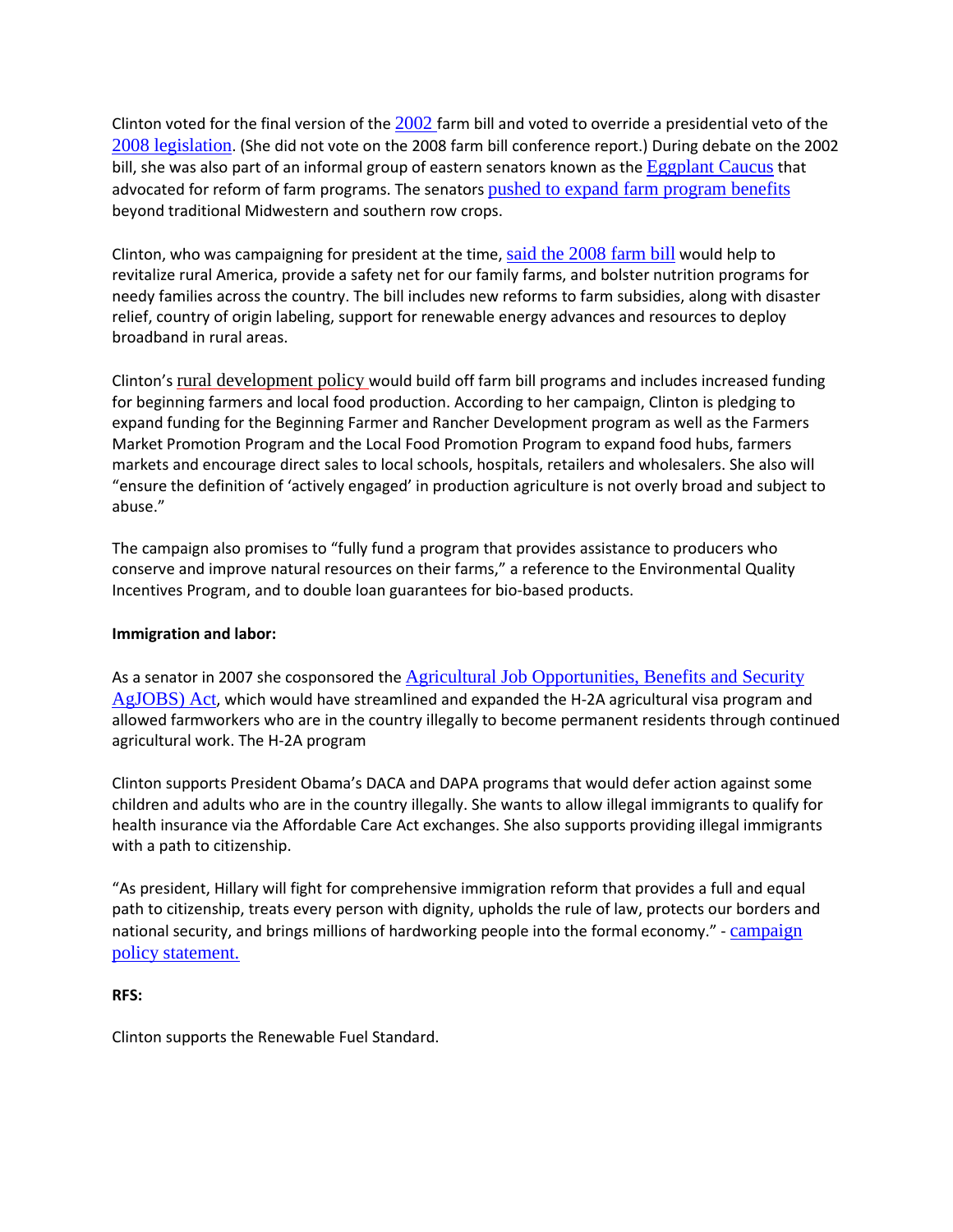Clinton voted for the final version of the  $2002$  farm bill and voted to override a presidential veto of the 2008 [legislation](http://www.senate.gov/legislative/LIS/roll_call_lists/roll_call_vote_cfm.cfm?congress=110&session=2&vote=00140). (She did not vote on the 2008 farm bill conference report.) During debate on the 2002 bill, she was also part of an informal group of eastern senators known as the [Eggplant](http://www.nytimes.com/2001/11/12/opinion/the-eggplant-rebellion.html) Caucus that advocated for reform of farm programs. The senators pushed to expand farm [program](http://www.iatp.org/news/eggplant-caucus-cultivates-support) benefits beyond traditional Midwestern and southern row crops.

Clinton, who was campaigning for president at the time, said the [2008](http://www.presidency.ucsb.edu/ws/?pid=93107) farm bill would help to revitalize rural America, provide a safety net for our family farms, and bolster nutrition programs for needy families across the country. The bill includes new reforms to farm subsidies, along with disaster relief, country of origin labeling, support for renewable energy advances and resources to deploy broadband in rural areas.

Clinton's rural [development](https://www.hillaryclinton.com/issues/rural-communities/) policy would build off farm bill programs and includes increased funding for beginning farmers and local food production. According to her campaign, Clinton is pledging to expand funding for the Beginning Farmer and Rancher Development program as well as the Farmers Market Promotion Program and the Local Food Promotion Program to expand food hubs, farmers markets and encourage direct sales to local schools, hospitals, retailers and wholesalers. She also will "ensure the definition of 'actively engaged' in production agriculture is not overly broad and subject to abuse."

The campaign also promises to "fully fund a program that provides assistance to producers who conserve and improve natural resources on their farms," a reference to the Environmental Quality Incentives Program, and to double loan guarantees for bio-based products.

#### **Immigration and labor:**

As a senator in 2007 she cosponsored the Agricultural Job [Opportunities,](http://www.immigrationpolicy.org/just-facts/summary-agjobs-agricultural-job-opportunities-benefits-and-security-act-2007) Benefits and Security [AgJOBS\)](http://www.immigrationpolicy.org/just-facts/summary-agjobs-agricultural-job-opportunities-benefits-and-security-act-2007) Act, which would have streamlined and expanded the H-2A agricultural visa program and allowed farmworkers who are in the country illegally to become permanent residents through continued agricultural work. The H-2A program

Clinton supports President Obama's DACA and DAPA programs that would defer action against some children and adults who are in the country illegally. She wants to allow illegal immigrants to qualify for health insurance via the Affordable Care Act exchanges. She also supports providing illegal immigrants with a path to citizenship.

"As president, Hillary will fight for comprehensive immigration reform that provides a full and equal path to citizenship, treats every person with dignity, upholds the rule of law, protects our borders and national security, and brings millions of hardworking people into the formal economy." - [campaign](https://www.hillaryclinton.com/issues/immigration-reform/) policy [statement.](https://www.hillaryclinton.com/issues/immigration-reform/)

## **RFS:**

Clinton supports the Renewable Fuel Standard.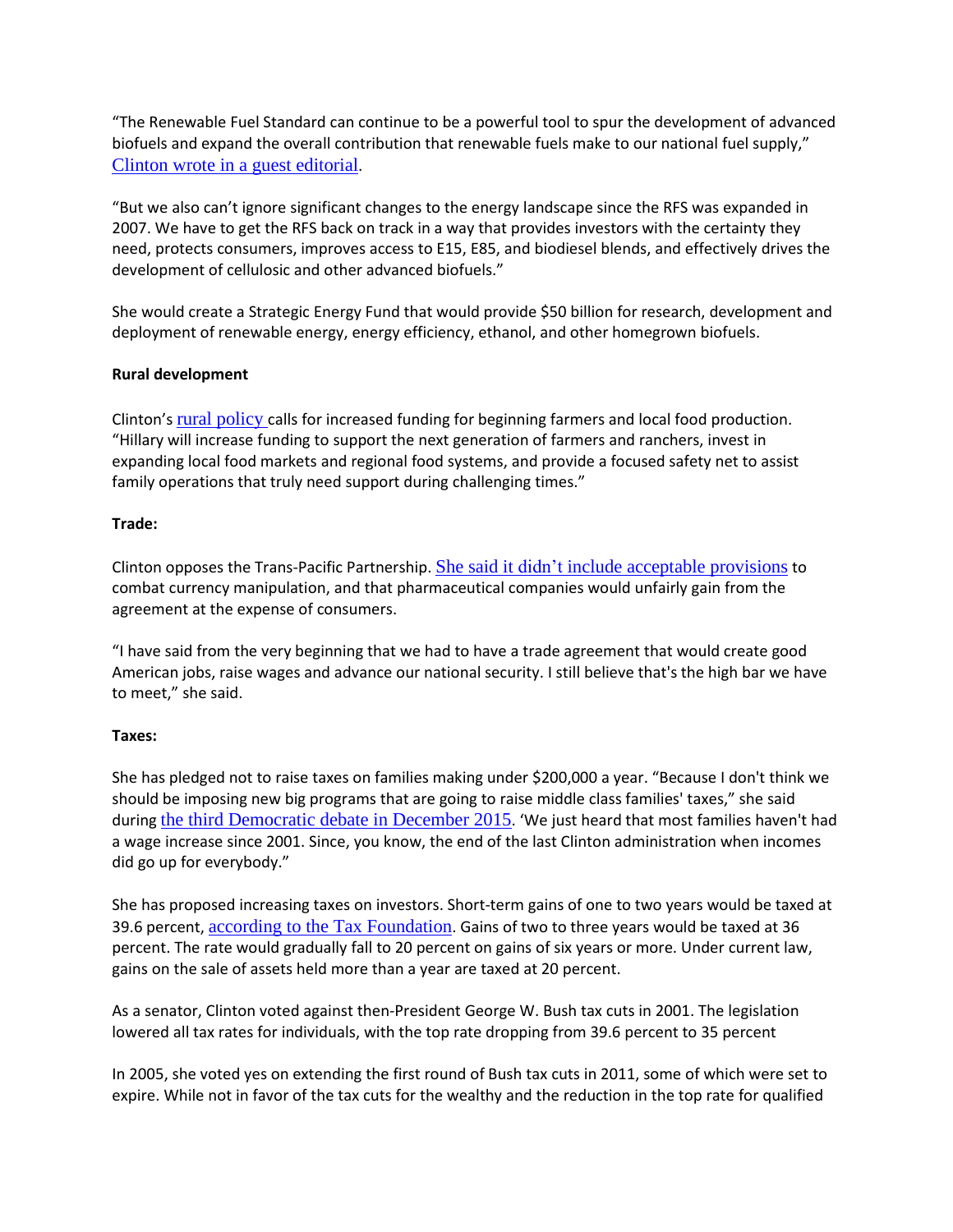"The Renewable Fuel Standard can continue to be a powerful tool to spur the development of advanced biofuels and expand the overall contribution that renewable fuels make to our national fuel supply," Clinton wrote in a guest [editorial](http://www.thegazette.com/subject/opinion/guest-columnists/clinton-invest-in-rural-clean-energy-20150528).

"But we also can't ignore significant changes to the energy landscape since the RFS was expanded in 2007. We have to get the RFS back on track in a way that provides investors with the certainty they need, protects consumers, improves access to E15, E85, and biodiesel blends, and effectively drives the development of cellulosic and other advanced biofuels."

She would create a Strategic Energy Fund that would provide \$50 billion for research, development and deployment of renewable energy, energy efficiency, ethanol, and other homegrown biofuels.

#### **Rural development**

Clinton's rural [policy](https://www.hillaryclinton.com/issues/rural-communities/) calls for increased funding for beginning farmers and local food production. "Hillary will increase funding to support the next generation of farmers and ranchers, invest in expanding local food markets and regional food systems, and provide a focused safety net to assist family operations that truly need support during challenging times."

#### **Trade:**

Clinton opposes the Trans-Pacific Partnership. She said it didn't include [acceptable](http://www.agri-pulse.com/Clinton-opposes-TPP-10072015----.asp) provisions to combat currency manipulation, and that pharmaceutical companies would unfairly gain from the agreement at the expense of consumers.

"I have said from the very beginning that we had to have a trade agreement that would create good American jobs, raise wages and advance our national security. I still believe that's the high bar we have to meet," she said.

#### **Taxes:**

She has pledged not to raise taxes on families making under \$200,000 a year. "Because I don't think we should be imposing new big programs that are going to raise middle class families' taxes," she said during the third [Democratic](http://www.cbsnews.com/news/democratic-debate-transcript-clinton-sanders-omalley-in-new-hampshire/) debate in December 2015. 'We just heard that most families haven't had a wage increase since 2001. Since, you know, the end of the last Clinton administration when incomes did go up for everybody."

She has proposed increasing taxes on investors. Short-term gains of one to two years would be taxed at 39.6 percent, according to the Tax [Foundation](http://taxfoundation.org/blog/details-hillary-clinton-s-capital-gains-tax-proposal). Gains of two to three years would be taxed at 36 percent. The rate would gradually fall to 20 percent on gains of six years or more. Under current law, gains on the sale of assets held more than a year are taxed at 20 percent.

As a senator, Clinton voted against then-President George W. Bush tax cuts in 2001. The legislation lowered all tax rates for individuals, with the top rate dropping from 39.6 percent to 35 percent

In 2005, she voted yes on extending the first round of Bush tax cuts in 2011, some of which were set to expire. While not in favor of the tax cuts for the wealthy and the reduction in the top rate for qualified